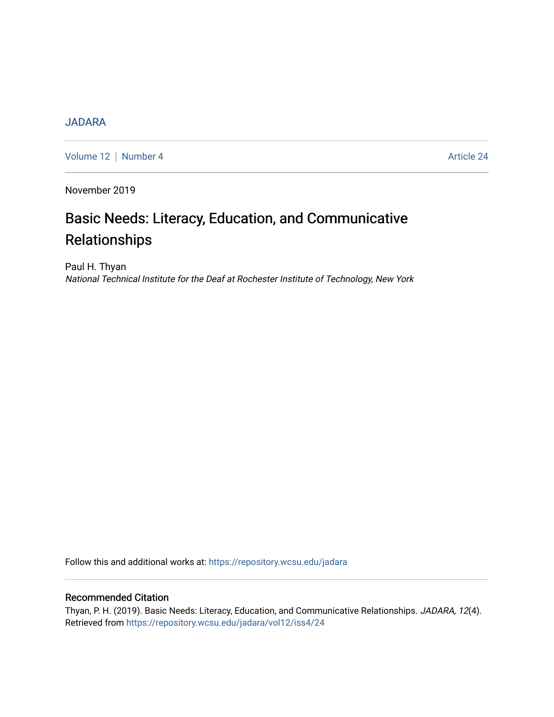## **[JADARA](https://repository.wcsu.edu/jadara)**

[Volume 12](https://repository.wcsu.edu/jadara/vol12) | [Number 4](https://repository.wcsu.edu/jadara/vol12/iss4) Article 24

November 2019

# Basic Needs: Literacy, Education, and Communicative Relationships

Paul H. Thyan National Technical Institute for the Deaf at Rochester Institute of Technology, New York

Follow this and additional works at: [https://repository.wcsu.edu/jadara](https://repository.wcsu.edu/jadara?utm_source=repository.wcsu.edu%2Fjadara%2Fvol12%2Fiss4%2F24&utm_medium=PDF&utm_campaign=PDFCoverPages)

### Recommended Citation

Thyan, P. H. (2019). Basic Needs: Literacy, Education, and Communicative Relationships. JADARA, 12(4). Retrieved from [https://repository.wcsu.edu/jadara/vol12/iss4/24](https://repository.wcsu.edu/jadara/vol12/iss4/24?utm_source=repository.wcsu.edu%2Fjadara%2Fvol12%2Fiss4%2F24&utm_medium=PDF&utm_campaign=PDFCoverPages)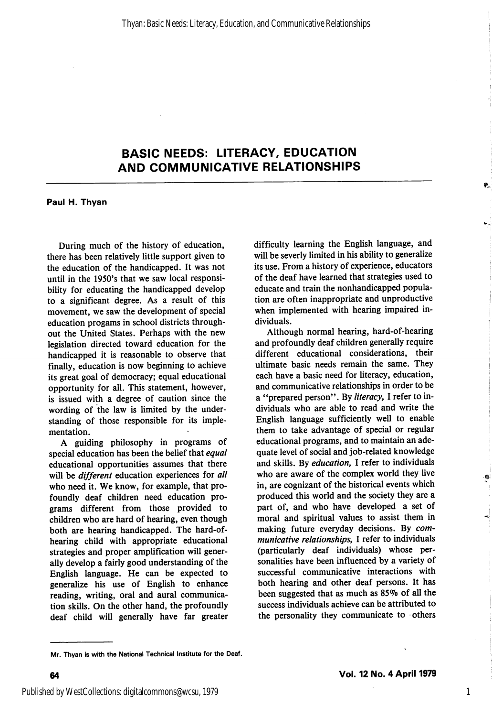## BASIC NEEDS: LITERACY, EDUCATION AND COMMUNICATIVE RELATIONSHIPS

Paul H. Thyan

During much of the history of education, there has been relatively little support given to the education of the handicapped. It was not until in the 1950's that we saw local responsi bility for educating the handicapped develop to a significant degree. As a result of this movement, we saw the development of special education progams in school districts through out the United States. Perhaps with the new legislation directed toward education for the handicapped it is reasonable to observe that finally, education is now beginning to achieve its great goal of democracy; equal educational opportunity for all. This statement, however, is issued with a degree of caution since the wording of the law is limited by the under standing of those responsible for its imple mentation.

A guiding philosophy in programs of special education has been the belief that equal educational opportunities assumes that there will be *different* education experiences for all who need it. We know, for example, that pro foundly deaf children need education pro grams different from those provided to children who are hard of hearing, even though both are hearing handicapped. The hard-ofhearing child with appropriate educational strategies and proper amplification will gener ally develop a fairly good understanding of the English language. He can be expected to generalize his use of English to enhance reading, writing, oral and aural communica tion skills. On the other hand, the profoundly deaf child will generally have far greater difficulty learning the English language, and will be severly limited in his ability to generalize its use. From a history of experience, educators of the deaf have learned that strategies used to educate and train the nonhandicapped popula tion are often inappropriate and unproductive when implemented with hearing impaired in dividuals.

Although normal hearing, hard-of-hearing and profoundly deaf children generally require different educational considerations, their ultimate basic needs remain the same. They each have a basic need for literacy, education, and communicative relationships in order to be a "prepared person". By literacy, I refer to individuals who are able to read and write the English language sufficiently well to enable them to take advantage of special or regular educational programs, and to maintain an ade quate level of social and job-related knowledge and skills. By education, I refer to individuals who are aware of the complex world they live in, are cognizant of the historical events which produced this world and the society they are a part of, and who have developed a set of moral and spiritual values to assist them in making future everyday decisions. By com municative relationships, I refer to individuals (particularly deaf individuals) whose per sonalities have been influenced by a variety of successful communicative interactions with both hearing and other deaf persons. It has been suggested that as much as 85% of all the success individuals achieve can be attributed to the personality they communicate to others

1

Mr. Thyan is with the National Technical Institute for the Deaf.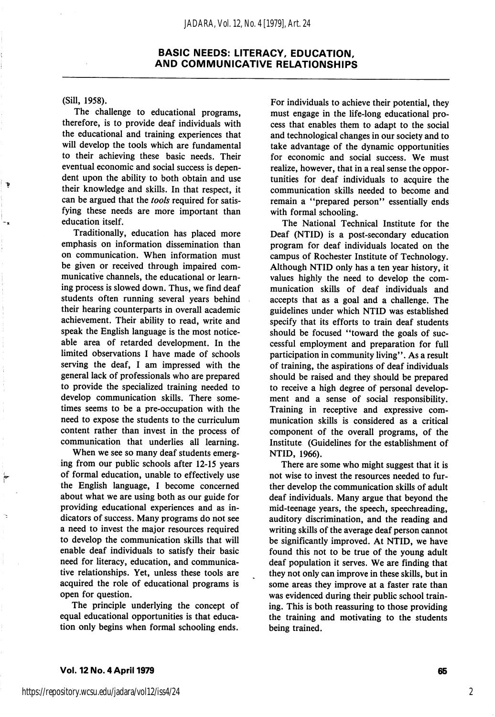#### BASIC NEEDS: LITERACY, EDUCATION, AND COMMUNICATIVE RELATIONSHIPS

(Sill, 1958).

The challenge to educational programs, therefore, is to provide deaf individuals with the educational and training experiences that will develop the tools which are fundamental to their achieving these basic needs. Their eventual economic and social success is depen dent upon the ability to both obtain and use their knowledge and skills. In that respect, it can be argued that the tools required for satisfying these needs are more important than education itself.

Traditionally, education has placed more emphasis on information dissemination than on communication. When information must be given or received through impaired com municative channels, the educational or learn ing process is slowed down. Thus, we find deaf students often running several years behind their hearing counterparts in overall academic achievement. Their ability to read, write and speak the English language is the most notice able area of retarded development. In the limited observations I have made of schools serving the deaf, I am impressed with the general lack of professionals who are prepared to provide the specialized training needed to develop communication skills. There some times seems to be a pre-occupation with the need to expose the students to the curriculum content rather than invest in the process of communication that underlies all learning.

When we see so many deaf students emerg ing from our public schools after 12-15 years of formal education, unable to effectively use the English language, I become concerned about what we are using both as our guide for providing educational experiences and as in dicators of success. Many programs do not see a need to invest the major resources required to develop the communication skills that will enable deaf individuals to satisfy their basic need for literacy, education, and communica tive relationships. Yet, unless these tools are acquired the role of educational programs is open for question.

The principle underlying the concept of equal educational opportunities is that educa tion only begins when formal schooling ends.

For individuals to achieve their potential, they must engage in the life-long educational pro cess that enables them to adapt to the social and technological changes in our society and to take advantage of the dynamic opportunities for economic and social success. We must realize, however, that in a real sense the oppor tunities for deaf individuals to acquire the communication skills needed to become and remain a "prepared person" essentially ends with formal schooling.

The National Technical Institute for the Deaf (NTID) is a post-secondary education program for deaf individuals located on the campus of Rochester Institute of Technology. Although NTID only has a ten year history, it values highly the need to develop the com munication skills of deaf individuals and accepts that as a goal and a challenge. The guidelines under which NTID was established specify that its efforts to train deaf students should be focused "toward the goals of successful employment and preparation for full participation in community living". As a result of training, the aspirations of deaf individuals should be raised and they should be prepared to receive a high degree of personal develop ment and a sense of social responsibility. Training in receptive and expressive com munication skills is considered as a critical component of the overall programs, of the Institute (Guidelines for the establishment of NTID, 1966).

There are some who might suggest that it is not wise to invest the resources needed to fur ther develop the communication skills of adult deaf individuals. Many argue that beyond the mid-teenage years, the speech, speechreading, auditory discrimination, and the reading and writing skills of the average deaf person cannot be significantly improved. At NTID, we have found this not to be true of the young adult deaf population it serves. We are finding that they not only can improve in these skills, but in some areas they improve at a faster rate than was evidenced during their public school train ing. This is both reassuring to those providing the training and motivating to the students being trained.

2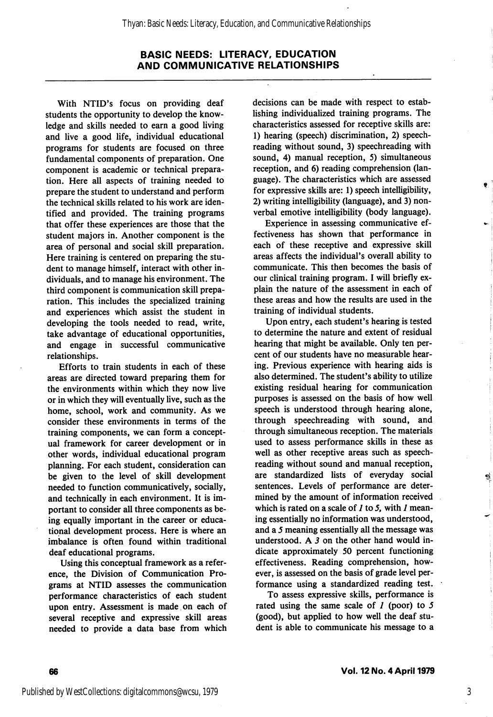#### BASIC NEEDS: LITERACY, EDUCATION AND COMMUNICATIVE RELATIONSHIPS

With NTID's focus on providing deaf students the opportunity to develop the know ledge and skills needed to earn a good living and live a good life, individual educational programs for students are focused on three fundamental components of preparation. One component is academic or technical prepara tion. Here all aspects of training needed to prepare the student to understand and perform the technical skills related to his work are iden tified and provided. The training programs that offer these experiences are those that the student majors in. Another component is the area of personal and social skill preparation. Here training is centered on preparing the stu dent to manage himself, interact with other in dividuals, and to manage his environment. The third component is communication skill prepa ration. This includes the specialized training and experiences which assist the student in developing the tools needed to read, write, take advantage of educational opportunities, and engage in successful communicative relationships.

Efforts to train students in each of these areas are directed toward preparing them for the environments within which they now live or in which they will eventually live, such as the home, school, work and community. As we consider these environments in terms of the training components, we can form a concept ual framework for career development or in other words, individual educational program planning. For each student, consideration can be given to the level of skill development needed to function communicatively, socially, and technically in each environment. It is im portant to consider all three components as be ing equally important in the career or educa tional development process. Here is where an imbalance is often found within traditional deaf educational programs.

Using this conceptual framework as a refer ence, the Division of Communication Pro grams at NTID assesses the communication performance characteristics of each student upon entry. Assessment is made on each of several receptive and expressive skill areas needed to provide a data base from which

decisions can be made with respect to estab lishing individualized training programs. The characteristics assessed for receptive skills are: 1) hearing (speech) discrimination, 2) speechreading without sound, 3) speechreading with sound, 4) manual reception, 5) simultaneous reception, and 6) reading comprehension (lan guage). The characteristics which are assessed for expressive skills are: 1) speech intelligibility, 2) writing intelligibility (language), and 3) non verbal emotive intelligibility (body language).

Experience in assessing communicative ef fectiveness has shown that performance in each of these receptive and expressive skill areas affects the individual's overall ability to communicate. This then becomes the basis of our clinical training program. I will briefly ex plain the nature of the assessment in each of these areas and how the results are used in the training of individual students.

Upon entry, each student's hearing is tested to determine the nature and extent of residual hearing that might be available. Only ten per cent of our students have no measurable hear ing. Previous experience with hearing aids is also determined. The student's ability to utilize existing residual hearing for communication purposes is assessed on the basis of how well speech is understood through hearing alone, through speechreading with sound, and through simultaneous reception. The materials used to assess performance skills in these as well as other receptive areas such as speechreading without sound and manual reception, are standardized lists of everyday social sentences. Levels of performance are deter mined by the amount of information received which is rated on a scale of  $I$  to  $I$ , with  $I$  meaning essentially no information was understood, and a 5 meaning essentially all the message was understood. A  $3$  on the other hand would indicate approximately 50 percent functioning effectiveness. Reading comprehension, how ever, is assessed on the basis of grade level per formance using a standardized reading test.

To assess expressive skills, performance is rated using the same scale of  $1$  (poor) to  $5$ (good), but applied to how well the deaf stu dent is able to communicate his message to a

66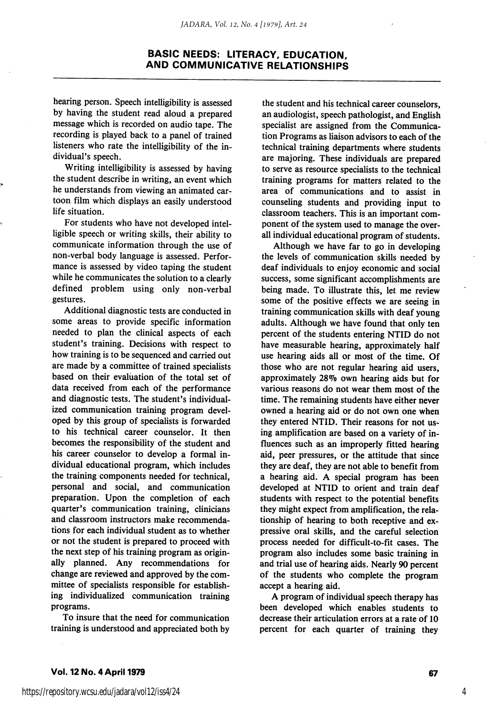#### BASIC NEEDS: LITERACY, EDUCATION, AND COMMUNICATIVE RELATIONSHIPS

hearing person. Speech intelligibility is assessed by having the student read aloud a prepared message which is recorded on audio tape. The recording is played back to a panel of trained listeners who rate the intelligibility of the in dividual's speech.

Writing intelligibility is assessed by having the student describe in writing, an event which he understands from viewing an animated car toon film which displays an easily understood life situation.

For students who have not developed intel ligible speech or writing skills, their ability to communicate information through the use of non-verbal body language is assessed. Perfor mance is assessed by video taping the student while he communicates the solution to a clearly defined problem using only non-verbal gestures.

Additional diagnostic tests are conducted in some areas to provide specific information needed to plan the clinical aspects of each student's training. Decisions with respect to how training is to be sequenced and carried out are made by a committee of trained specialists based on their evaluation of the total set of data received from each of the performance and diagnostic tests. The student's individual ized communication training program devel oped by this group of specialists is forwarded to his technical career counselor. It then becomes the responsibility of the student and his career counselor to develop a formal in dividual educational program, which includes the training components needed for technical, personal and social, and communication preparation. Upon the completion of each quarter's communication training, clinicians and classroom instructors make recommenda tions for each individual student as to whether or not the student is prepared to proceed with the next step of his training program as origin ally planned. Any recommendations for change are reviewed and approved by the com mittee of specialists responsible for establish ing individualized communication training programs.

To insure that the need for communication training is understood and appreciated both by

the student and his technical career counselors, an audiologist, speech pathologist, and English specialist are assigned from the Communica tion Programs as liaison advisors to each of the technical training departments where students are majoring. These individuals are prepared to serve as resource specialists to the technical training programs for matters related to the area of communications and to assist in counseling students and providing input to classroom teachers. This is an important com ponent of the system used to manage the over all individual educational program of students.

Although we have far to go in developing the levels of communication skills needed by deaf individuals to enjoy economic and social success, some significant accomplishments are being made. To illustrate this, let me review some of the positive effects we are seeing in training communication skills with deaf young adults. Although we have found that only ten percent of the students entering NTID do not have measurable hearing, approximately half use hearing aids all or most of the time. Of those who are not regular hearing aid users, approximately 28% own hearing aids but for various reasons do not wear them most of the time. The remaining students have either never owned a hearing aid or do not own one when they entered NTID. Their reasons for not us ing amplification are based on a variety of in fluences such as an improperly fitted hearing aid, peer pressures, or the attitude that since they are deaf, they are not able to benefit from a hearing aid. A special program has been developed at NTID to orient and train deaf students with respect to the potential benefits they might expect from amplification, the rela tionship of hearing to both receptive and ex pressive oral skills, and the careful selection process needed for difficult-to-fit cases. The program also includes some basic training in and trial use of hearing aids. Nearly 90 percent of the students who complete the program accept a hearing aid.

A program of individual speech therapy has been developed which enables students to decrease their articulation errors at a rate of 10 percent for each quarter of training they